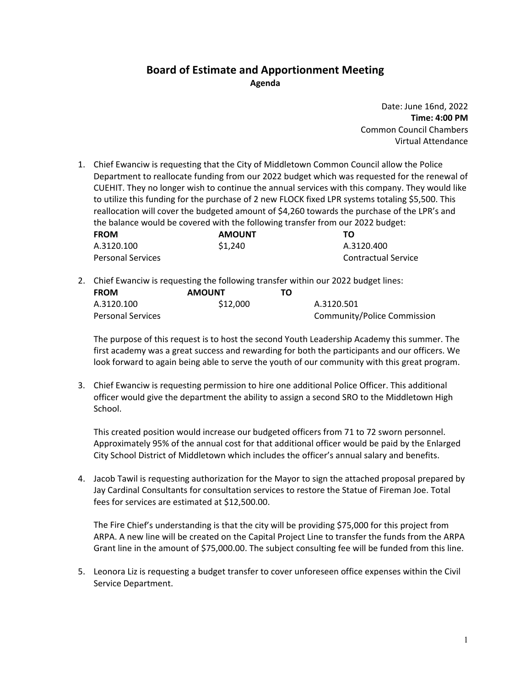## **Board of Estimate and Apportionment Meeting Agenda**

Date: June 16nd, 2022 **Time: 4:00 PM** Common Council Chambers Virtual Attendance

1. Chief Ewanciw is requesting that the City of Middletown Common Council allow the Police Department to reallocate funding from our 2022 budget which was requested for the renewal of CUEHIT. They no longer wish to continue the annual services with this company. They would like to utilize this funding for the purchase of 2 new FLOCK fixed LPR systems totaling \$5,500. This reallocation will cover the budgeted amount of \$4,260 towards the purchase of the LPR's and the balance would be covered with the following transfer from our 2022 budget:

| <b>FROM</b>              | <b>AMOUNT</b> | ΤО                  |
|--------------------------|---------------|---------------------|
| A.3120.100               | \$1,240       | A.3120.400          |
| <b>Personal Services</b> |               | Contractual Service |

2. Chief Ewanciw is requesting the following transfer within our 2022 budget lines:

| <b>FROM</b>              | <b>AMOUNT</b> | ТΟ |                             |
|--------------------------|---------------|----|-----------------------------|
| A.3120.100               | \$12,000      |    | A.3120.501                  |
| <b>Personal Services</b> |               |    | Community/Police Commission |

The purpose of this request is to host the second Youth Leadership Academy this summer. The first academy was a great success and rewarding for both the participants and our officers. We look forward to again being able to serve the youth of our community with this great program.

3. Chief Ewanciw is requesting permission to hire one additional Police Officer. This additional officer would give the department the ability to assign a second SRO to the Middletown High School.

This created position would increase our budgeted officers from 71 to 72 sworn personnel. Approximately 95% of the annual cost for that additional officer would be paid by the Enlarged City School District of Middletown which includes the officer's annual salary and benefits.

4. Jacob Tawil is requesting authorization for the Mayor to sign the attached proposal prepared by Jay Cardinal Consultants for consultation services to restore the Statue of Fireman Joe. Total fees for services are estimated at \$12,500.00.

The Fire Chief's understanding is that the city will be providing \$75,000 for this project from ARPA. A new line will be created on the Capital Project Line to transfer the funds from the ARPA Grant line in the amount of \$75,000.00. The subject consulting fee will be funded from this line.

5. Leonora Liz is requesting a budget transfer to cover unforeseen office expenses within the Civil Service Department.